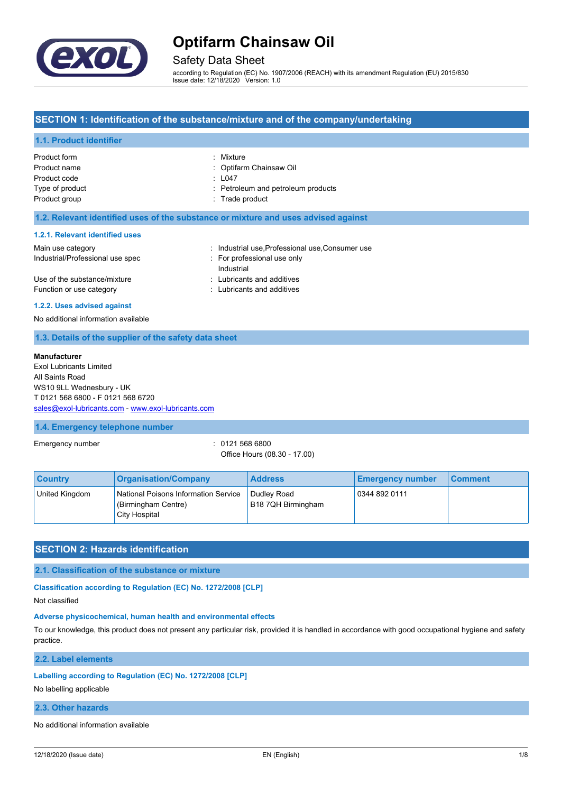

# Safety Data Sheet

according to Regulation (EC) No. 1907/2006 (REACH) with its amendment Regulation (EU) 2015/830 Issue date: 12/18/2020 Version: 1.0

## **SECTION 1: Identification of the substance/mixture and of the company/undertaking**

## **1.1. Product identifier**

| Product form    | : Mixture                          |
|-----------------|------------------------------------|
| Product name    | : Optifarm Chainsaw Oil            |
| Product code    | : L047                             |
| Type of product | : Petroleum and petroleum products |
| Product group   | : Trade product                    |
|                 |                                    |

### **1.2. Relevant identified uses of the substance or mixture and uses advised against**

#### **1.2.1. Relevant identified uses**

| Main use category                | : Industrial use Professional use Consumer use |
|----------------------------------|------------------------------------------------|
| Industrial/Professional use spec | For professional use only                      |
|                                  | Industrial                                     |
| Use of the substance/mixture     | : Lubricants and additives                     |
| Function or use category         | : Lubricants and additives                     |

#### **1.2.2. Uses advised against**

No additional information available

### **1.3. Details of the supplier of the safety data sheet**

#### **Manufacturer**

Exol Lubricants Limited All Saints Road WS10 9LL Wednesbury - UK T 0121 568 6800 - F 0121 568 6720 [sales@exol-lubricants.com](mailto:sales@exol-lubricants.com) - <www.exol-lubricants.com>

#### **1.4. Emergency telephone number**

Emergency number  $\sim$  0121 568 6800

Office Hours (08.30 - 17.00)

| <b>Country</b> | <b>Organisation/Company</b>                                                  | <b>Address</b>                    | <b>Emergency number</b> | <b>Comment</b> |
|----------------|------------------------------------------------------------------------------|-----------------------------------|-------------------------|----------------|
| United Kingdom | National Poisons Information Service<br>(Birmingham Centre)<br>City Hospital | Dudley Road<br>B18 7QH Birmingham | 0344 892 0111           |                |

## **SECTION 2: Hazards identification**

**2.1. Classification of the substance or mixture**

**Classification according to Regulation (EC) No. 1272/2008 [CLP]**

Not classified

## **Adverse physicochemical, human health and environmental effects**

To our knowledge, this product does not present any particular risk, provided it is handled in accordance with good occupational hygiene and safety practice.

**2.2. Label elements**

#### **Labelling according to Regulation (EC) No. 1272/2008 [CLP]**

No labelling applicable

## **2.3. Other hazards**

No additional information available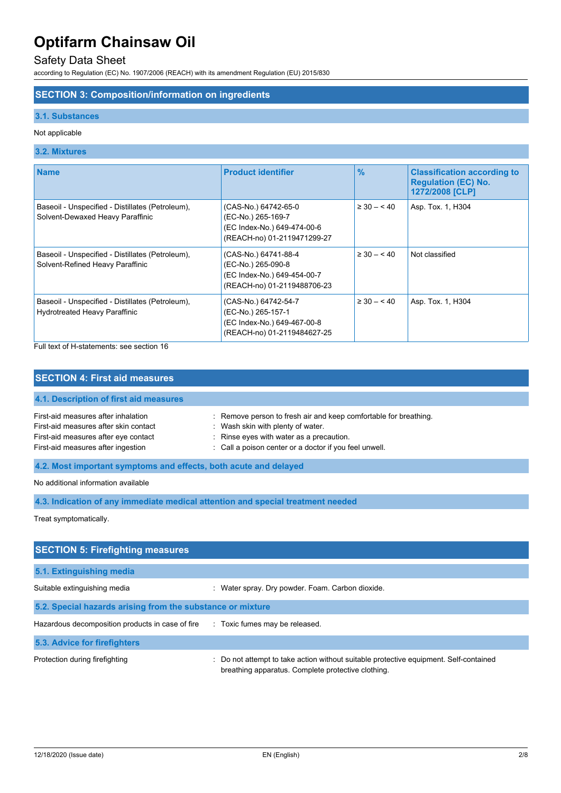# Safety Data Sheet

according to Regulation (EC) No. 1907/2006 (REACH) with its amendment Regulation (EU) 2015/830

# **SECTION 3: Composition/information on ingredients**

## **3.1. Substances**

## Not applicable

## **3.2. Mixtures**

| <b>Name</b>                                                                          | <b>Product identifier</b>                                                                                | $\frac{9}{6}$   | <b>Classification according to</b><br><b>Regulation (EC) No.</b><br>1272/2008 [CLP] |
|--------------------------------------------------------------------------------------|----------------------------------------------------------------------------------------------------------|-----------------|-------------------------------------------------------------------------------------|
| Baseoil - Unspecified - Distillates (Petroleum),<br>Solvent-Dewaxed Heavy Paraffinic | (CAS-No.) 64742-65-0<br>(EC-No.) 265-169-7<br>(EC Index-No.) 649-474-00-6<br>(REACH-no) 01-2119471299-27 | $\geq 30 - 540$ | Asp. Tox. 1, H304                                                                   |
| Baseoil - Unspecified - Distillates (Petroleum),<br>Solvent-Refined Heavy Paraffinic | (CAS-No.) 64741-88-4<br>(EC-No.) 265-090-8<br>(EC Index-No.) 649-454-00-7<br>(REACH-no) 01-2119488706-23 | $\geq 30 - 40$  | Not classified                                                                      |
| Baseoil - Unspecified - Distillates (Petroleum),<br>Hydrotreated Heavy Paraffinic    | (CAS-No.) 64742-54-7<br>(EC-No.) 265-157-1<br>(EC Index-No.) 649-467-00-8<br>(REACH-no) 01-2119484627-25 | $\geq 30 - 540$ | Asp. Tox. 1, H304                                                                   |

Full text of H-statements: see section 16

| <b>SECTION 4: First aid measures</b>                                                                                                                       |                                                                                                                                                                                                             |  |
|------------------------------------------------------------------------------------------------------------------------------------------------------------|-------------------------------------------------------------------------------------------------------------------------------------------------------------------------------------------------------------|--|
| 4.1. Description of first aid measures                                                                                                                     |                                                                                                                                                                                                             |  |
| First-aid measures after inhalation<br>First-aid measures after skin contact<br>First-aid measures after eye contact<br>First-aid measures after ingestion | : Remove person to fresh air and keep comfortable for breathing.<br>: Wash skin with plenty of water.<br>: Rinse eyes with water as a precaution.<br>: Call a poison center or a doctor if you feel unwell. |  |
| 4.2. Most important symptoms and effects, both acute and delayed                                                                                           |                                                                                                                                                                                                             |  |
| No additional information available                                                                                                                        |                                                                                                                                                                                                             |  |

**4.3. Indication of any immediate medical attention and special treatment needed**

Treat symptomatically.

| <b>SECTION 5: Firefighting measures</b>                    |                                                                                                                                             |
|------------------------------------------------------------|---------------------------------------------------------------------------------------------------------------------------------------------|
| 5.1. Extinguishing media                                   |                                                                                                                                             |
| Suitable extinguishing media                               | : Water spray. Dry powder. Foam. Carbon dioxide.                                                                                            |
| 5.2. Special hazards arising from the substance or mixture |                                                                                                                                             |
| Hazardous decomposition products in case of fire           | : Toxic fumes may be released.                                                                                                              |
| 5.3. Advice for firefighters                               |                                                                                                                                             |
| Protection during firefighting                             | : Do not attempt to take action without suitable protective equipment. Self-contained<br>breathing apparatus. Complete protective clothing. |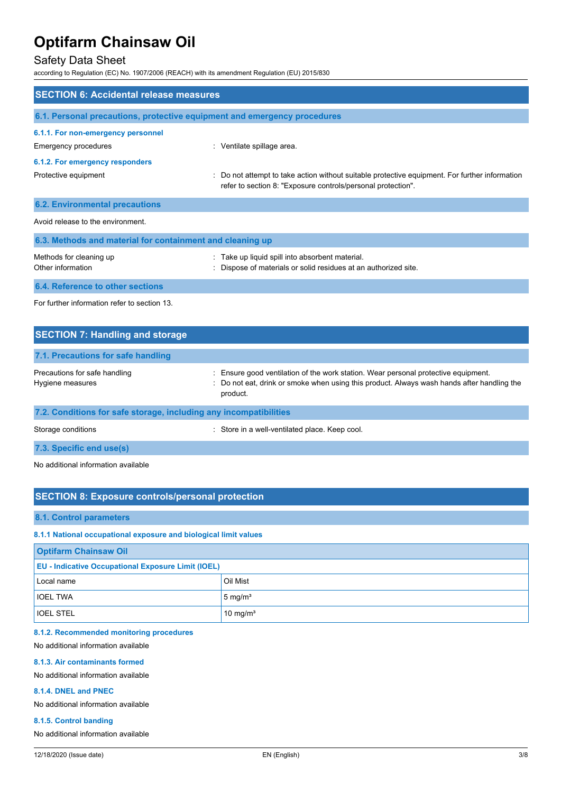# Safety Data Sheet

according to Regulation (EC) No. 1907/2006 (REACH) with its amendment Regulation (EU) 2015/830

| <b>SECTION 6: Accidental release measures</b>                            |                                                                                                                                                              |  |  |
|--------------------------------------------------------------------------|--------------------------------------------------------------------------------------------------------------------------------------------------------------|--|--|
| 6.1. Personal precautions, protective equipment and emergency procedures |                                                                                                                                                              |  |  |
| 6.1.1. For non-emergency personnel<br>Emergency procedures               | : Ventilate spillage area.                                                                                                                                   |  |  |
| 6.1.2. For emergency responders                                          |                                                                                                                                                              |  |  |
| Protective equipment                                                     | Do not attempt to take action without suitable protective equipment. For further information<br>refer to section 8: "Exposure controls/personal protection". |  |  |
| <b>6.2. Environmental precautions</b>                                    |                                                                                                                                                              |  |  |
| Avoid release to the environment                                         |                                                                                                                                                              |  |  |
| 6.3. Methods and material for containment and cleaning up                |                                                                                                                                                              |  |  |
| Methods for cleaning up<br>Other information                             | : Take up liquid spill into absorbent material.<br>Dispose of materials or solid residues at an authorized site.                                             |  |  |
| 6.4. Reference to other sections                                         |                                                                                                                                                              |  |  |
| For further information refer to section 13.                             |                                                                                                                                                              |  |  |

| <b>SECTION 7: Handling and storage</b>                            |                                                                                                                                                                                              |  |
|-------------------------------------------------------------------|----------------------------------------------------------------------------------------------------------------------------------------------------------------------------------------------|--|
| 7.1. Precautions for safe handling                                |                                                                                                                                                                                              |  |
| Precautions for safe handling<br>Hygiene measures                 | : Ensure good ventilation of the work station. Wear personal protective equipment.<br>: Do not eat, drink or smoke when using this product. Always wash hands after handling the<br>product. |  |
| 7.2. Conditions for safe storage, including any incompatibilities |                                                                                                                                                                                              |  |
| Storage conditions                                                | : Store in a well-ventilated place. Keep cool.                                                                                                                                               |  |

**7.3. Specific end use(s)**

No additional information available

# **SECTION 8: Exposure controls/personal protection**

### **8.1. Control parameters**

**8.1.1 National occupational exposure and biological limit values**

| <b>Optifarm Chainsaw Oil</b>                              |                      |  |
|-----------------------------------------------------------|----------------------|--|
| <b>EU - Indicative Occupational Exposure Limit (IOEL)</b> |                      |  |
| Local name                                                | Oil Mist             |  |
| <b>IOEL TWA</b>                                           | $5 \text{ mg/m}^3$   |  |
| <b>IOEL STEL</b>                                          | 10 mg/m <sup>3</sup> |  |

# **8.1.2. Recommended monitoring procedures**

No additional information available

#### **8.1.3. Air contaminants formed**

No additional information available

## **8.1.4. DNEL and PNEC**

No additional information available

#### **8.1.5. Control banding**

No additional information available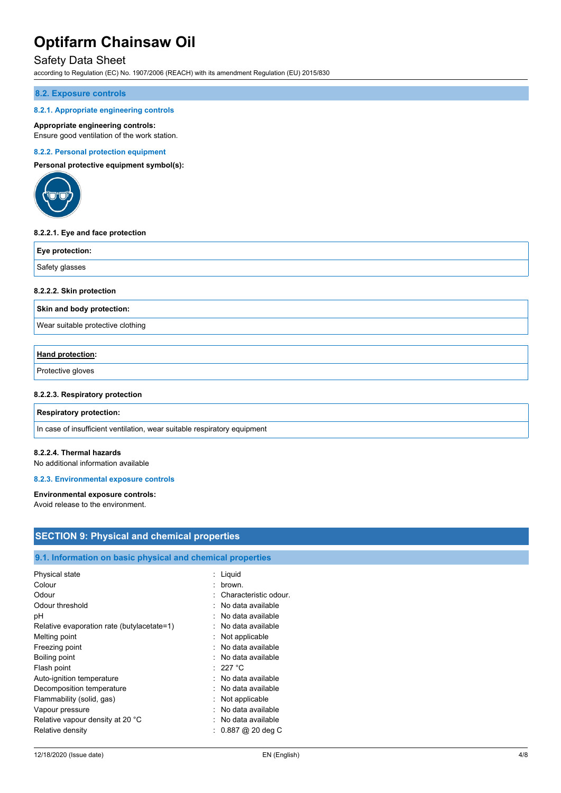# Safety Data Sheet

according to Regulation (EC) No. 1907/2006 (REACH) with its amendment Regulation (EU) 2015/830

#### **8.2. Exposure controls**

#### **8.2.1. Appropriate engineering controls**

#### **Appropriate engineering controls:**

Ensure good ventilation of the work station.

#### **8.2.2. Personal protection equipment**

**Personal protective equipment symbol(s):**



#### **8.2.2.1. Eye and face protection**

| Eye protection: |  |
|-----------------|--|
| Safety glasses  |  |

#### **8.2.2.2. Skin protection**

**Skin and body protection:**

Wear suitable protective clothing

## **Hand protection:**

Protective gloves

#### **8.2.2.3. Respiratory protection**

#### **Respiratory protection:**

In case of insufficient ventilation, wear suitable respiratory equipment

#### **8.2.2.4. Thermal hazards**

No additional information available

# **8.2.3. Environmental exposure controls**

## **Environmental exposure controls:**

Avoid release to the environment.

| <b>SECTION 9: Physical and chemical properties</b>         |                       |  |  |
|------------------------------------------------------------|-----------------------|--|--|
|                                                            |                       |  |  |
| 9.1. Information on basic physical and chemical properties |                       |  |  |
| Physical state                                             | : Liquid              |  |  |
| Colour                                                     | brown.<br>$\bullet$   |  |  |
| Odour                                                      | Characteristic odour. |  |  |
| Odour threshold                                            | No data available     |  |  |
| рH                                                         | No data available     |  |  |
| Relative evaporation rate (butylacetate=1)                 | No data available     |  |  |
| Melting point                                              | Not applicable        |  |  |
| Freezing point                                             | No data available     |  |  |
| Boiling point                                              | No data available     |  |  |
| Flash point                                                | : 227 °C              |  |  |
| Auto-ignition temperature                                  | No data available     |  |  |
| Decomposition temperature                                  | No data available     |  |  |
| Flammability (solid, gas)                                  | Not applicable        |  |  |
| Vapour pressure                                            | No data available     |  |  |
| Relative vapour density at 20 °C                           | No data available     |  |  |
| Relative density                                           | $: 0.887$ @ 20 deg C  |  |  |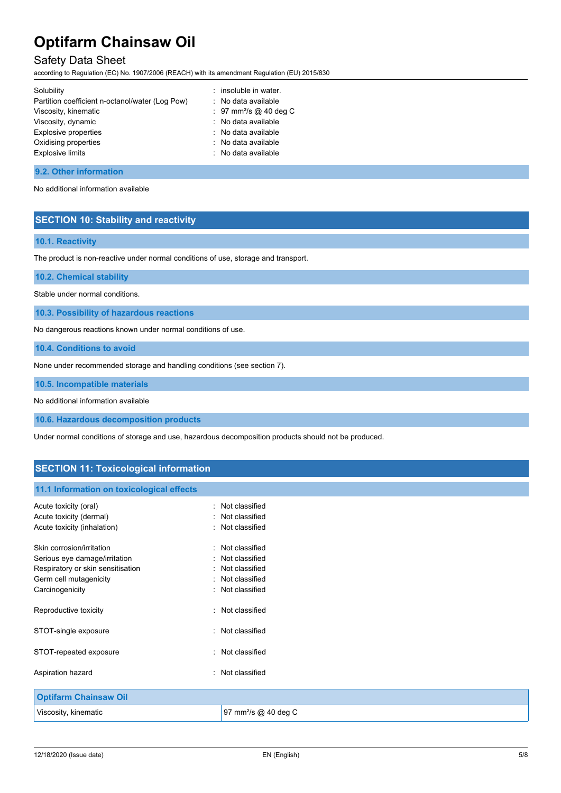# Safety Data Sheet

according to Regulation (EC) No. 1907/2006 (REACH) with its amendment Regulation (EU) 2015/830

| Solubility                                      | : insoluble in water.              |
|-------------------------------------------------|------------------------------------|
| Partition coefficient n-octanol/water (Log Pow) | : No data available                |
| Viscosity, kinematic                            | : 97 mm <sup>2</sup> /s @ 40 deg C |
| Viscosity, dynamic                              | : No data available                |
| Explosive properties                            | : No data available                |
| Oxidising properties                            | : No data available                |
| Explosive limits                                | : No data available                |
|                                                 |                                    |

#### **9.2. Other information**

No additional information available

# **SECTION 10: Stability and reactivity**

## **10.1. Reactivity**

The product is non-reactive under normal conditions of use, storage and transport.

**10.2. Chemical stability**

Stable under normal conditions.

**10.3. Possibility of hazardous reactions**

No dangerous reactions known under normal conditions of use.

**10.4. Conditions to avoid**

None under recommended storage and handling conditions (see section 7).

**10.5. Incompatible materials**

No additional information available

**10.6. Hazardous decomposition products**

Under normal conditions of storage and use, hazardous decomposition products should not be produced.

# **SECTION 11: Toxicological information**

## **11.1 Information on toxicological effects**

| Acute toxicity (oral)             | Not classified                   |
|-----------------------------------|----------------------------------|
| Acute toxicity (dermal)           | : Not classified                 |
| Acute toxicity (inhalation)       | : Not classified                 |
| Skin corrosion/irritation         | Not classified                   |
| Serious eye damage/irritation     | Not classified                   |
| Respiratory or skin sensitisation | : Not classified                 |
| Germ cell mutagenicity            | Not classified                   |
| Carcinogenicity                   | : Not classified                 |
| Reproductive toxicity             | : Not classified                 |
| STOT-single exposure              | Not classified                   |
| STOT-repeated exposure            | : Not classified                 |
| Aspiration hazard                 | : Not classified                 |
| <b>Optifarm Chainsaw Oil</b>      |                                  |
| Viscosity, kinematic              | 97 mm <sup>2</sup> /s @ 40 deg C |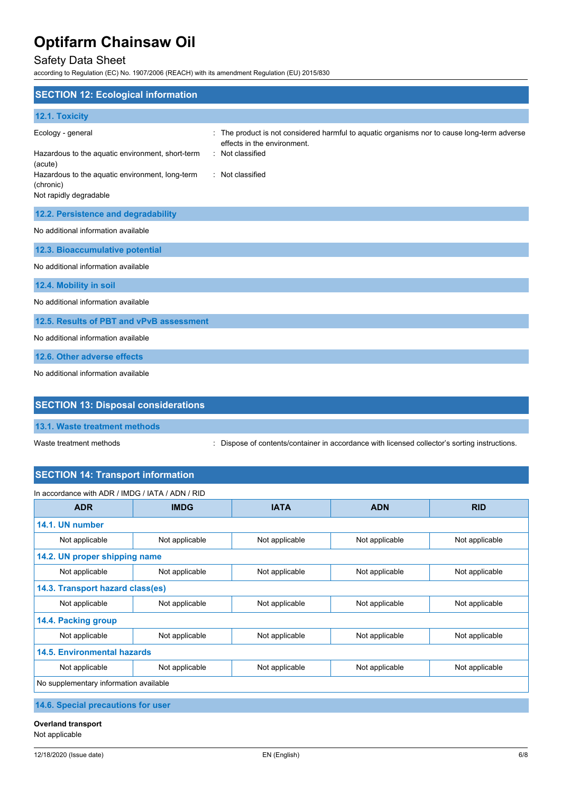# Safety Data Sheet

according to Regulation (EC) No. 1907/2006 (REACH) with its amendment Regulation (EU) 2015/830

| <b>SECTION 12: Ecological information</b>                                                                                                                                  |                                                                                                                                                                |
|----------------------------------------------------------------------------------------------------------------------------------------------------------------------------|----------------------------------------------------------------------------------------------------------------------------------------------------------------|
| 12.1. Toxicity                                                                                                                                                             |                                                                                                                                                                |
| Ecology - general<br>Hazardous to the aquatic environment, short-term<br>(acute)<br>Hazardous to the aquatic environment, long-term<br>(chronic)<br>Not rapidly degradable | The product is not considered harmful to aquatic organisms nor to cause long-term adverse<br>effects in the environment.<br>Not classified<br>: Not classified |
| 12.2. Persistence and degradability                                                                                                                                        |                                                                                                                                                                |
| No additional information available                                                                                                                                        |                                                                                                                                                                |
| 12.3. Bioaccumulative potential                                                                                                                                            |                                                                                                                                                                |
| No additional information available                                                                                                                                        |                                                                                                                                                                |
| 12.4. Mobility in soil                                                                                                                                                     |                                                                                                                                                                |
| No additional information available                                                                                                                                        |                                                                                                                                                                |
| 12.5. Results of PBT and vPvB assessment                                                                                                                                   |                                                                                                                                                                |
| No additional information available                                                                                                                                        |                                                                                                                                                                |
| 12.6. Other adverse effects                                                                                                                                                |                                                                                                                                                                |
| No additional information available                                                                                                                                        |                                                                                                                                                                |
| <b>SECTION 13: Disposal considerations</b>                                                                                                                                 |                                                                                                                                                                |

Waste treatment methods : Dispose of contents/container in accordance with licensed collector's sorting instructions.

# **SECTION 14: Transport information**

| In accordance with ADR / IMDG / IATA / ADN / RID |                |                |                |                |
|--------------------------------------------------|----------------|----------------|----------------|----------------|
| <b>ADR</b>                                       | <b>IMDG</b>    | <b>IATA</b>    | <b>ADN</b>     | <b>RID</b>     |
| 14.1. UN number                                  |                |                |                |                |
| Not applicable                                   | Not applicable | Not applicable | Not applicable | Not applicable |
| 14.2. UN proper shipping name                    |                |                |                |                |
| Not applicable                                   | Not applicable | Not applicable | Not applicable | Not applicable |
| 14.3. Transport hazard class(es)                 |                |                |                |                |
| Not applicable                                   | Not applicable | Not applicable | Not applicable | Not applicable |
| 14.4. Packing group                              |                |                |                |                |
| Not applicable                                   | Not applicable | Not applicable | Not applicable | Not applicable |
| <b>14.5. Environmental hazards</b>               |                |                |                |                |
| Not applicable                                   | Not applicable | Not applicable | Not applicable | Not applicable |
| No supplementary information available           |                |                |                |                |
| A A A Andreal concernations from the co-         |                |                |                |                |

**14.6. Special precautions for user**

**Overland transport** Not applicable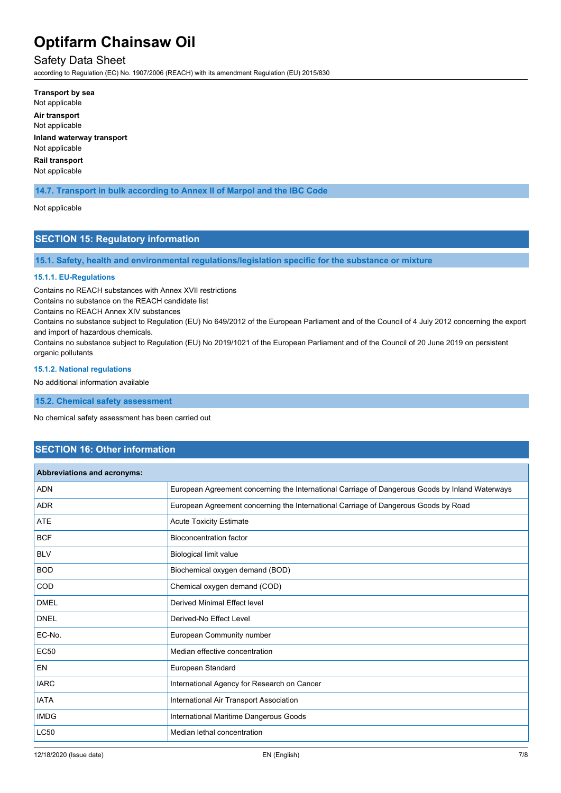# Safety Data Sheet

according to Regulation (EC) No. 1907/2006 (REACH) with its amendment Regulation (EU) 2015/830

**Transport by sea** Not applicable **Air transport** Not applicable **Inland waterway transport** Not applicable **Rail transport** Not applicable

# **14.7. Transport in bulk according to Annex II of Marpol and the IBC Code**

#### Not applicable

# **SECTION 15: Regulatory information**

**15.1. Safety, health and environmental regulations/legislation specific for the substance or mixture**

#### **15.1.1. EU-Regulations**

Contains no REACH substances with Annex XVII restrictions

Contains no substance on the REACH candidate list

Contains no REACH Annex XIV substances

Contains no substance subject to Regulation (EU) No 649/2012 of the European Parliament and of the Council of 4 July 2012 concerning the export and import of hazardous chemicals.

Contains no substance subject to Regulation (EU) No 2019/1021 of the European Parliament and of the Council of 20 June 2019 on persistent organic pollutants

#### **15.1.2. National regulations**

No additional information available

**15.2. Chemical safety assessment**

No chemical safety assessment has been carried out

# **SECTION 16: Other information**

| Abbreviations and acronyms: |                                                                                                 |
|-----------------------------|-------------------------------------------------------------------------------------------------|
| <b>ADN</b>                  | European Agreement concerning the International Carriage of Dangerous Goods by Inland Waterways |
| <b>ADR</b>                  | European Agreement concerning the International Carriage of Dangerous Goods by Road             |
| <b>ATE</b>                  | <b>Acute Toxicity Estimate</b>                                                                  |
| <b>BCF</b>                  | <b>Bioconcentration factor</b>                                                                  |
| <b>BLV</b>                  | Biological limit value                                                                          |
| <b>BOD</b>                  | Biochemical oxygen demand (BOD)                                                                 |
| COD                         | Chemical oxygen demand (COD)                                                                    |
| <b>DMEL</b>                 | <b>Derived Minimal Effect level</b>                                                             |
| <b>DNEL</b>                 | Derived-No Effect Level                                                                         |
| EC-No.                      | European Community number                                                                       |
| <b>EC50</b>                 | Median effective concentration                                                                  |
| <b>EN</b>                   | European Standard                                                                               |
| <b>IARC</b>                 | International Agency for Research on Cancer                                                     |
| <b>IATA</b>                 | International Air Transport Association                                                         |
| <b>IMDG</b>                 | International Maritime Dangerous Goods                                                          |
| <b>LC50</b>                 | Median lethal concentration                                                                     |